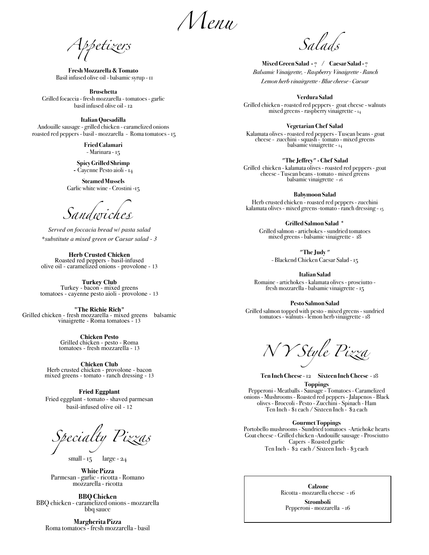*Menu* 

*A*"*etizers Salads*

**Fresh Mozzarella & Tomato**  Basil infused olive oil - balsamic syrup - 11

**Bruschetta** Grilled focaccia - fresh mozzarella - tomatoes - garlic basil infused olive oil - 12

**Italian Quesadilla** Andouille sausage - grilled chicken - caramelized onions roasted red peppers - basil - mozzarella - Roma tomatoes - 15

> **Fried Calamari** - Marinara - 15

**Spicy Grilled Shrimp -** Cayenne Pesto aioli - 14

**Steamed Mussels** Garlic white wine - Crostini -15

*Sandwich*e

*Served on foccacia bread w/ pasta salad \*substitute a mixed green or Caesar salad - 3*

**Herb Crusted Chicken**<br>
Roasted red peppers - basil-infused<br>
olive oil - caramelized onions - provolone - 13

**Turkey Club**  Turkey - bacon - mixed greens tomatoes - cayenne pesto aioli - provolone - 13

**"The Richie Rich"** Grilled chicken - fresh mozzarella - mixed greens balsamic vinaigrette - Roma tomatoes - 13

**Chicken Pesto** Grilled chicken - pesto - Roma tomatoes - fresh mozzarella - 13

**Chicken Club** Herb crusted chicken - provolone - bacon mixed greens - tomato - ranch dressing - 13

**Fried Eggplant**  Fried eggplant - tomato - shaved parmesan

basil-infused olive oil - 12

*Specialty Pizzas*

small - 15 large - 24

**White Pizza** Parmesan - garlic - ricotta - Romano mozzarella - ricotta

**BBQ Chicken**<br>BBQ chicken - caramelized onions - mozzarella<br>bbq sauce

**Margherita Pizza** Roma tomatoes - fresh mozzarella - basil

**Mixed Green Salad -** 7 / **Caesar Salad -** 7  *Balsamic Vinaigrette, - Raspberry Vinaigrette - Ranch Lemon herb vinairgrette - Blue cheese - Caesar*

**Verdura Salad** 

Grilled chicken - roasted red peppers - goat cheese - walnuts mixed greens - raspberry vinaigrette - 14

**Vegetarian Chef Salad** 

Kalamata olives - roasted red peppers - Tuscan beans - goat<br>cheese - zucchini - squash - tomato - mixed greens<br>balsamic vinaigrette - 14

**"The Jeffrey" - Chef Salad**

Grilled chicken - kalamata olives - roasted red peppers - goat cheese - Tuscan beans - tomato - mixed greens balsamic vinaigrette - 16

**Babymoon Salad**  Herb crusted chicken - roasted red peppers - zucchini

kalamata olives - mixed greens -tomato - ranch dressing - 15

**Grilled Salmon Salad \*** Grilled salmon - artichokes - sundried tomatoes mixed greens - balsamic vinaigrette - 18

**"The Judy "** 

- Blackend Chicken Caesar Salad - 15

**Italian Salad** Romaine - artichokes - kalamata olives - prosciutto - fresh mozzarella - balsamic vinaigrette - 15

**Pesto Salmon Salad**

Grilled salmon topped with pesto - mixed greens - sundried tomatoes - walnuts - lemon herb vinaigrette - 18

*N Y Style Pizza*

 **Ten Inch Cheese** - 12 **Sixteen Inch Cheese** - 18 **Toppings** 

Pepperoni - Meatballs - Sausage - Tomatoes - Caramelized onions - Mushrooms - Roasted red peppers - Jalapenos - Black olives - Broccoli - Pesto - Zucchini - Spinach - Ham Ten Inch - \$1 each / Sixteen Inch - \$2 each

**Gourmet Toppings**

Portobello mushrooms - Sundried tomatoes -Artichoke hearts Goat cheese - Grilled chicken -Andouille sausage - Prosciutto Capers - Roasted garlic Ten Inch - \$2 each / Sixteen Inch - \$3 each

> **Calzone**  Ricotta - mozzarella cheese - 16

**Stromboli** Pepperoni - mozzarella - 16